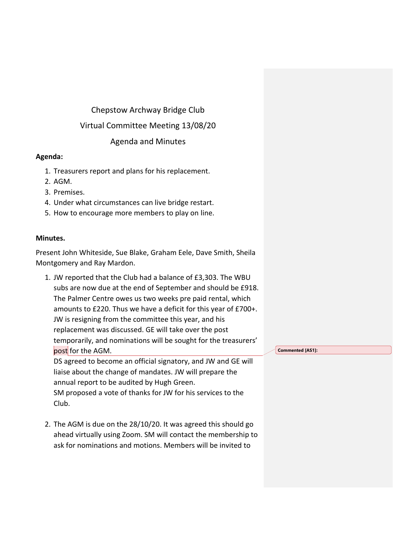## Chepstow Archway Bridge Club

# Virtual Committee Meeting 13/08/20

### Agenda and Minutes

### **Agenda:**

- 1. Treasurers report and plans for his replacement.
- 2. AGM.
- 3. Premises.
- 4. Under what circumstances can live bridge restart.
- 5. How to encourage more members to play on line.

#### **Minutes.**

Present John Whiteside, Sue Blake, Graham Eele, Dave Smith, Sheila Montgomery and Ray Mardon.

1. JW reported that the Club had a balance of £3,303. The WBU subs are now due at the end of September and should be £918. The Palmer Centre owes us two weeks pre paid rental, which amounts to £220. Thus we have a deficit for this year of £700+. JW is resigning from the committee this year, and his replacement was discussed. GE will take over the post temporarily, and nominations will be sought for the treasurers' post for the AGM. DS agreed to become an official signatory, and JW and GE will

liaise about the change of mandates. JW will prepare the annual report to be audited by Hugh Green. SM proposed a vote of thanks for JW for his services to the Club.

2. The AGM is due on the 28/10/20. It was agreed this should go ahead virtually using Zoom. SM will contact the membership to ask for nominations and motions. Members will be invited to

**Commented [AS1]:**